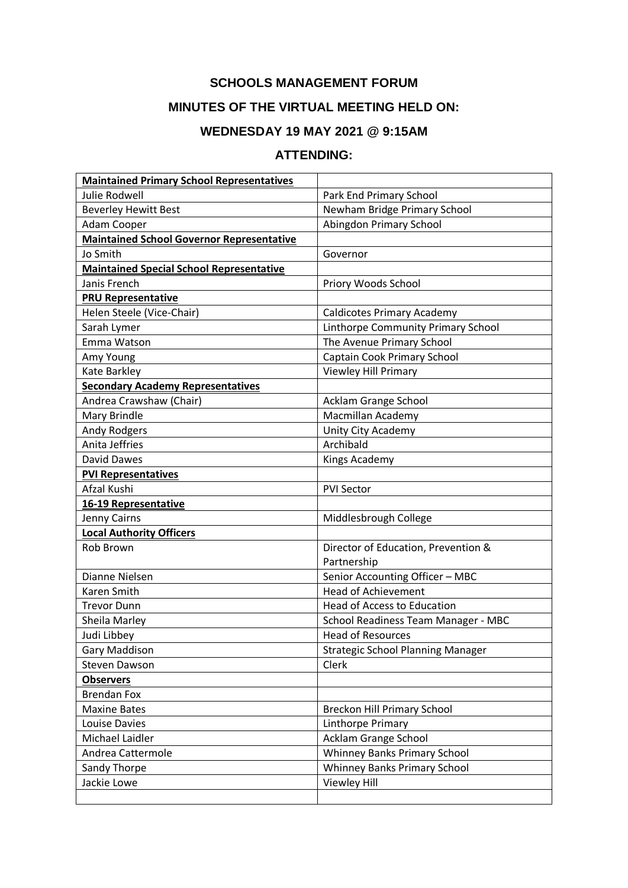### **SCHOOLS MANAGEMENT FORUM**

# **MINUTES OF THE VIRTUAL MEETING HELD ON:**

## **WEDNESDAY 19 MAY 2021 @ 9:15AM**

#### **ATTENDING:**

| <b>Maintained Primary School Representatives</b> |                                          |
|--------------------------------------------------|------------------------------------------|
| <b>Julie Rodwell</b>                             | Park End Primary School                  |
| <b>Beverley Hewitt Best</b>                      | Newham Bridge Primary School             |
| Adam Cooper                                      | Abingdon Primary School                  |
| <b>Maintained School Governor Representative</b> |                                          |
| Jo Smith                                         | Governor                                 |
| <b>Maintained Special School Representative</b>  |                                          |
| Janis French                                     | Priory Woods School                      |
| <b>PRU Representative</b>                        |                                          |
| Helen Steele (Vice-Chair)                        | <b>Caldicotes Primary Academy</b>        |
| Sarah Lymer                                      | Linthorpe Community Primary School       |
| Emma Watson                                      | The Avenue Primary School                |
| Amy Young                                        | Captain Cook Primary School              |
| Kate Barkley                                     | Viewley Hill Primary                     |
| <b>Secondary Academy Representatives</b>         |                                          |
| Andrea Crawshaw (Chair)                          | Acklam Grange School                     |
| Mary Brindle                                     | Macmillan Academy                        |
| <b>Andy Rodgers</b>                              | Unity City Academy                       |
| Anita Jeffries                                   | Archibald                                |
| David Dawes                                      | Kings Academy                            |
| <b>PVI Representatives</b>                       |                                          |
| Afzal Kushi                                      | <b>PVI Sector</b>                        |
| 16-19 Representative                             |                                          |
| Jenny Cairns                                     | Middlesbrough College                    |
| <b>Local Authority Officers</b>                  |                                          |
| Rob Brown                                        | Director of Education, Prevention &      |
|                                                  | Partnership                              |
| Dianne Nielsen                                   | Senior Accounting Officer - MBC          |
| Karen Smith                                      | <b>Head of Achievement</b>               |
| <b>Trevor Dunn</b>                               | Head of Access to Education              |
| Sheila Marley                                    | School Readiness Team Manager - MBC      |
| Judi Libbey                                      | <b>Head of Resources</b>                 |
| <b>Gary Maddison</b>                             | <b>Strategic School Planning Manager</b> |
| <b>Steven Dawson</b>                             | Clerk                                    |
| <b>Observers</b>                                 |                                          |
| <b>Brendan Fox</b>                               |                                          |
| <b>Maxine Bates</b>                              | <b>Breckon Hill Primary School</b>       |
| Louise Davies                                    | Linthorpe Primary                        |
| Michael Laidler                                  | Acklam Grange School                     |
| Andrea Cattermole                                | Whinney Banks Primary School             |
| Sandy Thorpe                                     | <b>Whinney Banks Primary School</b>      |
| Jackie Lowe                                      | <b>Viewley Hill</b>                      |
|                                                  |                                          |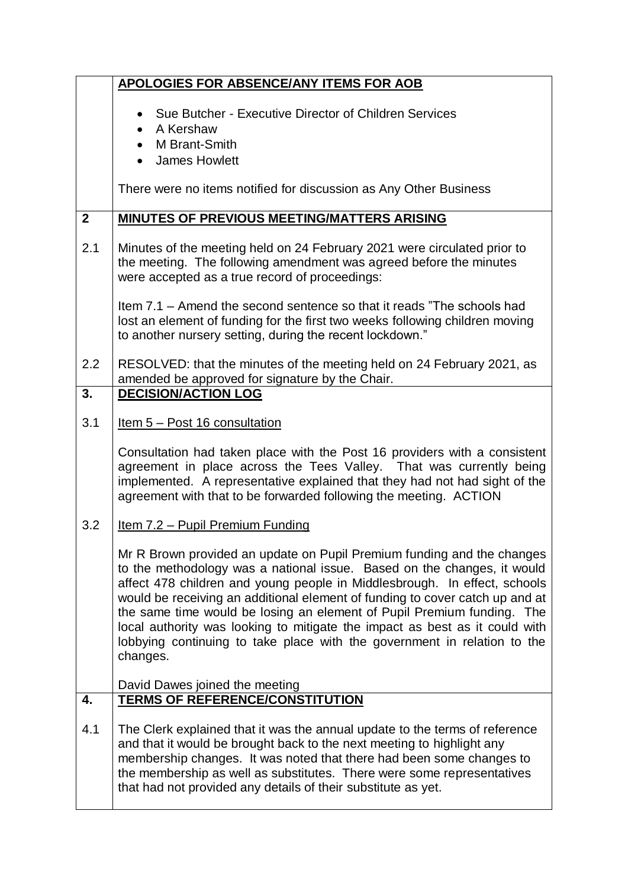|                | <b>APOLOGIES FOR ABSENCE/ANY ITEMS FOR AOB</b>                                                                                                                                                                                                                                                                                                                                                                                                                                                                                                                  |
|----------------|-----------------------------------------------------------------------------------------------------------------------------------------------------------------------------------------------------------------------------------------------------------------------------------------------------------------------------------------------------------------------------------------------------------------------------------------------------------------------------------------------------------------------------------------------------------------|
|                | Sue Butcher - Executive Director of Children Services<br>$\bullet$<br>A Kershaw<br>M Brant-Smith<br>$\bullet$<br><b>James Howlett</b>                                                                                                                                                                                                                                                                                                                                                                                                                           |
|                | There were no items notified for discussion as Any Other Business                                                                                                                                                                                                                                                                                                                                                                                                                                                                                               |
| $\overline{2}$ | <b>MINUTES OF PREVIOUS MEETING/MATTERS ARISING</b>                                                                                                                                                                                                                                                                                                                                                                                                                                                                                                              |
| 2.1            | Minutes of the meeting held on 24 February 2021 were circulated prior to<br>the meeting. The following amendment was agreed before the minutes<br>were accepted as a true record of proceedings:                                                                                                                                                                                                                                                                                                                                                                |
|                | Item 7.1 – Amend the second sentence so that it reads "The schools had<br>lost an element of funding for the first two weeks following children moving<br>to another nursery setting, during the recent lockdown."                                                                                                                                                                                                                                                                                                                                              |
| 2.2            | RESOLVED: that the minutes of the meeting held on 24 February 2021, as<br>amended be approved for signature by the Chair.                                                                                                                                                                                                                                                                                                                                                                                                                                       |
| 3.             | <b>DECISION/ACTION LOG</b>                                                                                                                                                                                                                                                                                                                                                                                                                                                                                                                                      |
| 3.1            | <u>Item 5 – Post 16 consultation</u>                                                                                                                                                                                                                                                                                                                                                                                                                                                                                                                            |
|                | Consultation had taken place with the Post 16 providers with a consistent<br>agreement in place across the Tees Valley. That was currently being<br>implemented. A representative explained that they had not had sight of the<br>agreement with that to be forwarded following the meeting. ACTION                                                                                                                                                                                                                                                             |
| 3.2            | <u>Item 7.2 – Pupil Premium Funding</u>                                                                                                                                                                                                                                                                                                                                                                                                                                                                                                                         |
|                | Mr R Brown provided an update on Pupil Premium funding and the changes<br>to the methodology was a national issue. Based on the changes, it would<br>affect 478 children and young people in Middlesbrough. In effect, schools<br>would be receiving an additional element of funding to cover catch up and at<br>the same time would be losing an element of Pupil Premium funding. The<br>local authority was looking to mitigate the impact as best as it could with<br>lobbying continuing to take place with the government in relation to the<br>changes. |
|                | David Dawes joined the meeting                                                                                                                                                                                                                                                                                                                                                                                                                                                                                                                                  |
| 4.             | <b>TERMS OF REFERENCE/CONSTITUTION</b>                                                                                                                                                                                                                                                                                                                                                                                                                                                                                                                          |
| 4.1            | The Clerk explained that it was the annual update to the terms of reference<br>and that it would be brought back to the next meeting to highlight any<br>membership changes. It was noted that there had been some changes to<br>the membership as well as substitutes. There were some representatives<br>that had not provided any details of their substitute as yet.                                                                                                                                                                                        |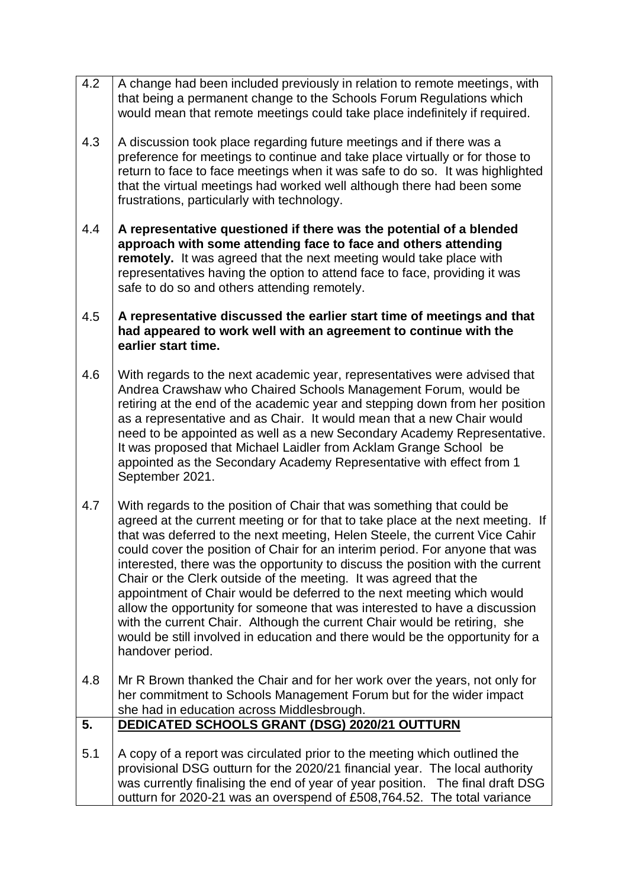- 4.2 A change had been included previously in relation to remote meetings, with that being a permanent change to the Schools Forum Regulations which would mean that remote meetings could take place indefinitely if required.
- 4.3 A discussion took place regarding future meetings and if there was a preference for meetings to continue and take place virtually or for those to return to face to face meetings when it was safe to do so. It was highlighted that the virtual meetings had worked well although there had been some frustrations, particularly with technology.
- 4.4 **A representative questioned if there was the potential of a blended approach with some attending face to face and others attending remotely.** It was agreed that the next meeting would take place with representatives having the option to attend face to face, providing it was safe to do so and others attending remotely.
- 4.5 **A representative discussed the earlier start time of meetings and that had appeared to work well with an agreement to continue with the earlier start time.**
- 4.6 With regards to the next academic year, representatives were advised that Andrea Crawshaw who Chaired Schools Management Forum, would be retiring at the end of the academic year and stepping down from her position as a representative and as Chair. It would mean that a new Chair would need to be appointed as well as a new Secondary Academy Representative. It was proposed that Michael Laidler from Acklam Grange School be appointed as the Secondary Academy Representative with effect from 1 September 2021.
- 4.7 With regards to the position of Chair that was something that could be agreed at the current meeting or for that to take place at the next meeting. If that was deferred to the next meeting, Helen Steele, the current Vice Cahir could cover the position of Chair for an interim period. For anyone that was interested, there was the opportunity to discuss the position with the current Chair or the Clerk outside of the meeting. It was agreed that the appointment of Chair would be deferred to the next meeting which would allow the opportunity for someone that was interested to have a discussion with the current Chair. Although the current Chair would be retiring, she would be still involved in education and there would be the opportunity for a handover period.
- 4.8 Mr R Brown thanked the Chair and for her work over the years, not only for her commitment to Schools Management Forum but for the wider impact she had in education across Middlesbrough.
- **5. DEDICATED SCHOOLS GRANT (DSG) 2020/21 OUTTURN**
- 5.1 A copy of a report was circulated prior to the meeting which outlined the provisional DSG outturn for the 2020/21 financial year. The local authority was currently finalising the end of year of year position. The final draft DSG outturn for 2020-21 was an overspend of £508,764.52. The total variance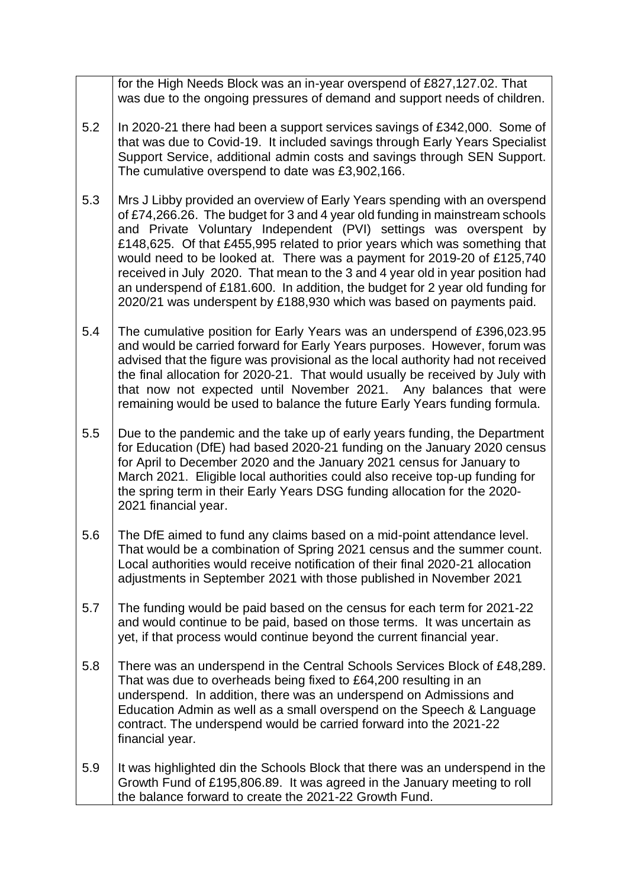for the High Needs Block was an in-year overspend of £827,127.02. That was due to the ongoing pressures of demand and support needs of children.

- 5.2 In 2020-21 there had been a support services savings of £342,000. Some of that was due to Covid-19. It included savings through Early Years Specialist Support Service, additional admin costs and savings through SEN Support. The cumulative overspend to date was £3,902,166.
- 5.3 Mrs J Libby provided an overview of Early Years spending with an overspend of £74,266.26. The budget for 3 and 4 year old funding in mainstream schools and Private Voluntary Independent (PVI) settings was overspent by £148,625. Of that £455,995 related to prior years which was something that would need to be looked at. There was a payment for 2019-20 of £125,740 received in July 2020. That mean to the 3 and 4 year old in year position had an underspend of £181.600. In addition, the budget for 2 year old funding for 2020/21 was underspent by £188,930 which was based on payments paid.
- 5.4 The cumulative position for Early Years was an underspend of £396,023.95 and would be carried forward for Early Years purposes. However, forum was advised that the figure was provisional as the local authority had not received the final allocation for 2020-21. That would usually be received by July with that now not expected until November 2021. Any balances that were remaining would be used to balance the future Early Years funding formula.
- 5.5 Due to the pandemic and the take up of early years funding, the Department for Education (DfE) had based 2020-21 funding on the January 2020 census for April to December 2020 and the January 2021 census for January to March 2021. Eligible local authorities could also receive top-up funding for the spring term in their Early Years DSG funding allocation for the 2020- 2021 financial year.
- 5.6 The DfE aimed to fund any claims based on a mid-point attendance level. That would be a combination of Spring 2021 census and the summer count. Local authorities would receive notification of their final 2020-21 allocation adjustments in September 2021 with those published in November 2021
- 5.7 The funding would be paid based on the census for each term for 2021-22 and would continue to be paid, based on those terms. It was uncertain as yet, if that process would continue beyond the current financial year.
- 5.8 There was an underspend in the Central Schools Services Block of £48,289. That was due to overheads being fixed to £64,200 resulting in an underspend. In addition, there was an underspend on Admissions and Education Admin as well as a small overspend on the Speech & Language contract. The underspend would be carried forward into the 2021-22 financial year.
- 5.9 It was highlighted din the Schools Block that there was an underspend in the Growth Fund of £195,806.89. It was agreed in the January meeting to roll the balance forward to create the 2021-22 Growth Fund.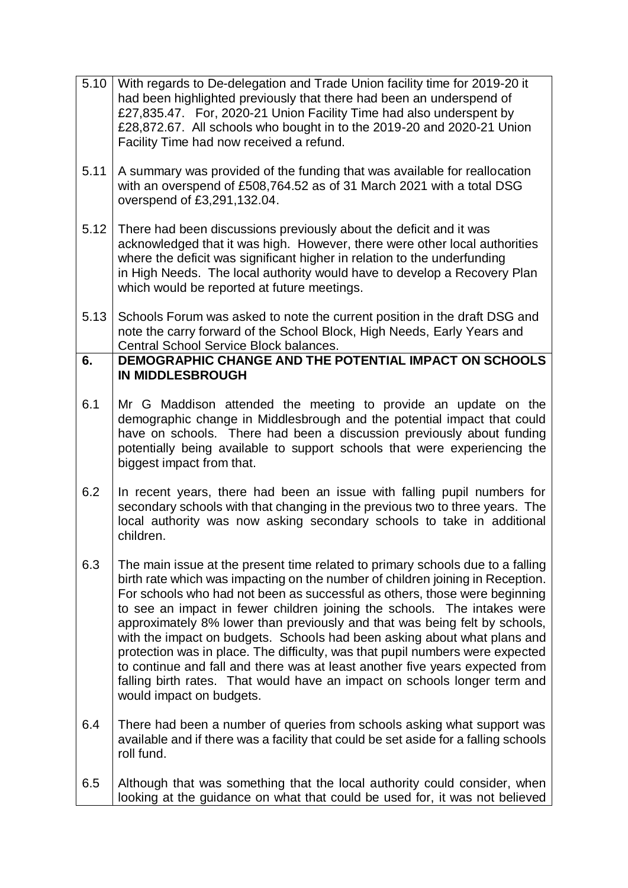| 5.10 | With regards to De-delegation and Trade Union facility time for 2019-20 it<br>had been highlighted previously that there had been an underspend of<br>£27,835.47. For, 2020-21 Union Facility Time had also underspent by<br>£28,872.67. All schools who bought in to the 2019-20 and 2020-21 Union<br>Facility Time had now received a refund.                                                                                                                                                                                                                                                                                                                                                                                                                |
|------|----------------------------------------------------------------------------------------------------------------------------------------------------------------------------------------------------------------------------------------------------------------------------------------------------------------------------------------------------------------------------------------------------------------------------------------------------------------------------------------------------------------------------------------------------------------------------------------------------------------------------------------------------------------------------------------------------------------------------------------------------------------|
| 5.11 | A summary was provided of the funding that was available for reallocation<br>with an overspend of £508,764.52 as of 31 March 2021 with a total DSG<br>overspend of £3,291,132.04.                                                                                                                                                                                                                                                                                                                                                                                                                                                                                                                                                                              |
| 5.12 | There had been discussions previously about the deficit and it was<br>acknowledged that it was high. However, there were other local authorities<br>where the deficit was significant higher in relation to the underfunding<br>in High Needs. The local authority would have to develop a Recovery Plan<br>which would be reported at future meetings.                                                                                                                                                                                                                                                                                                                                                                                                        |
| 5.13 | Schools Forum was asked to note the current position in the draft DSG and<br>note the carry forward of the School Block, High Needs, Early Years and<br>Central School Service Block balances.                                                                                                                                                                                                                                                                                                                                                                                                                                                                                                                                                                 |
| 6.   | DEMOGRAPHIC CHANGE AND THE POTENTIAL IMPACT ON SCHOOLS<br><b>IN MIDDLESBROUGH</b>                                                                                                                                                                                                                                                                                                                                                                                                                                                                                                                                                                                                                                                                              |
| 6.1  | Mr G Maddison attended the meeting to provide an update on the<br>demographic change in Middlesbrough and the potential impact that could<br>have on schools. There had been a discussion previously about funding<br>potentially being available to support schools that were experiencing the<br>biggest impact from that.                                                                                                                                                                                                                                                                                                                                                                                                                                   |
| 6.2  | In recent years, there had been an issue with falling pupil numbers for<br>secondary schools with that changing in the previous two to three years. The<br>local authority was now asking secondary schools to take in additional<br>children.                                                                                                                                                                                                                                                                                                                                                                                                                                                                                                                 |
| 6.3  | The main issue at the present time related to primary schools due to a falling<br>birth rate which was impacting on the number of children joining in Reception.<br>For schools who had not been as successful as others, those were beginning<br>to see an impact in fewer children joining the schools. The intakes were<br>approximately 8% lower than previously and that was being felt by schools,<br>with the impact on budgets. Schools had been asking about what plans and<br>protection was in place. The difficulty, was that pupil numbers were expected<br>to continue and fall and there was at least another five years expected from<br>falling birth rates. That would have an impact on schools longer term and<br>would impact on budgets. |
| 6.4  | There had been a number of queries from schools asking what support was<br>available and if there was a facility that could be set aside for a falling schools<br>roll fund.                                                                                                                                                                                                                                                                                                                                                                                                                                                                                                                                                                                   |
| 6.5  | Although that was something that the local authority could consider, when<br>looking at the guidance on what that could be used for, it was not believed                                                                                                                                                                                                                                                                                                                                                                                                                                                                                                                                                                                                       |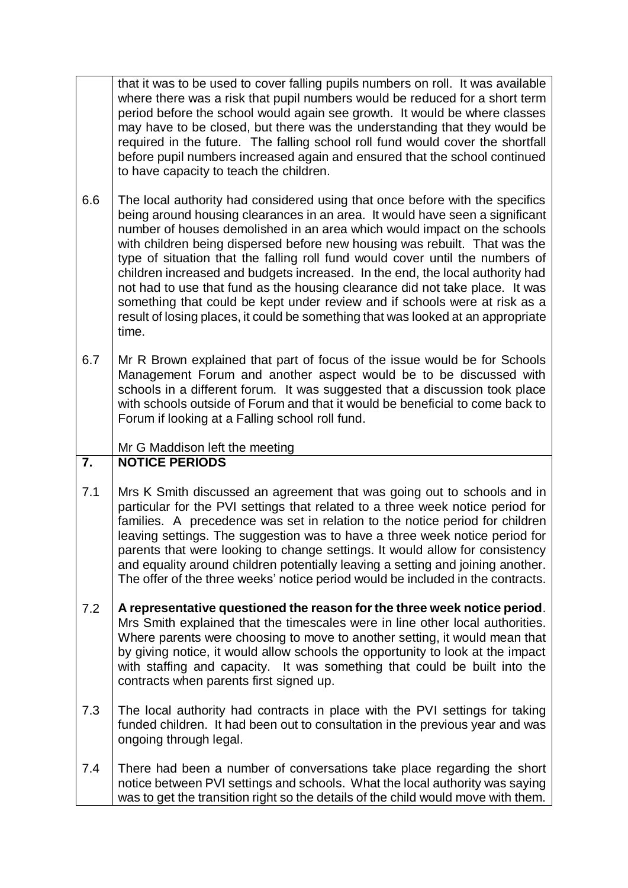that it was to be used to cover falling pupils numbers on roll. It was available where there was a risk that pupil numbers would be reduced for a short term period before the school would again see growth. It would be where classes may have to be closed, but there was the understanding that they would be required in the future. The falling school roll fund would cover the shortfall before pupil numbers increased again and ensured that the school continued to have capacity to teach the children.

- 6.6 The local authority had considered using that once before with the specifics being around housing clearances in an area. It would have seen a significant number of houses demolished in an area which would impact on the schools with children being dispersed before new housing was rebuilt. That was the type of situation that the falling roll fund would cover until the numbers of children increased and budgets increased. In the end, the local authority had not had to use that fund as the housing clearance did not take place. It was something that could be kept under review and if schools were at risk as a result of losing places, it could be something that was looked at an appropriate time.
- 6.7 Mr R Brown explained that part of focus of the issue would be for Schools Management Forum and another aspect would be to be discussed with schools in a different forum. It was suggested that a discussion took place with schools outside of Forum and that it would be beneficial to come back to Forum if looking at a Falling school roll fund.

Mr G Maddison left the meeting

#### **7. NOTICE PERIODS**

- 7.1 Mrs K Smith discussed an agreement that was going out to schools and in particular for the PVI settings that related to a three week notice period for families. A precedence was set in relation to the notice period for children leaving settings. The suggestion was to have a three week notice period for parents that were looking to change settings. It would allow for consistency and equality around children potentially leaving a setting and joining another. The offer of the three weeks' notice period would be included in the contracts.
- 7.2 **A representative questioned the reason for the three week notice period**. Mrs Smith explained that the timescales were in line other local authorities. Where parents were choosing to move to another setting, it would mean that by giving notice, it would allow schools the opportunity to look at the impact with staffing and capacity. It was something that could be built into the contracts when parents first signed up.
- 7.3 The local authority had contracts in place with the PVI settings for taking funded children. It had been out to consultation in the previous year and was ongoing through legal.
- 7.4 There had been a number of conversations take place regarding the short notice between PVI settings and schools. What the local authority was saying was to get the transition right so the details of the child would move with them.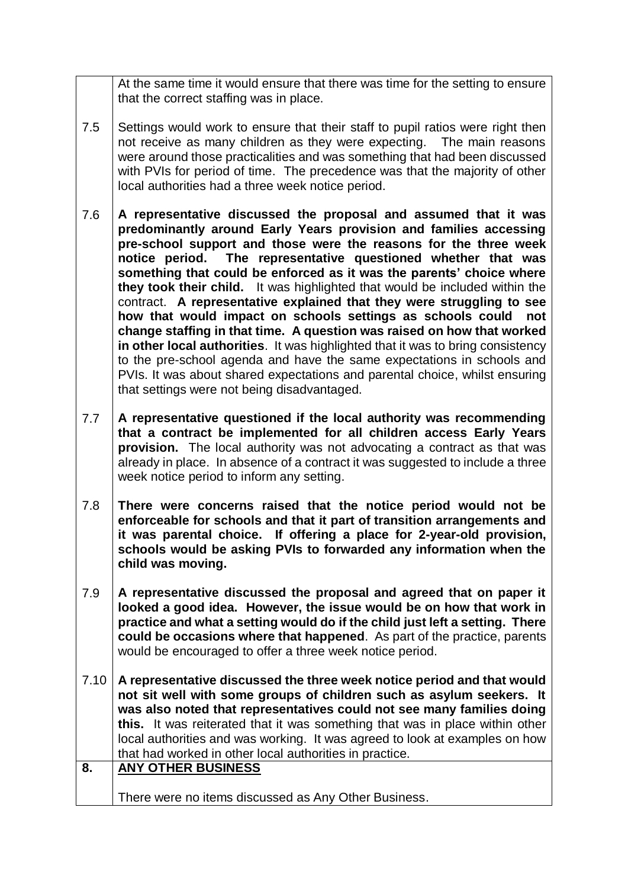At the same time it would ensure that there was time for the setting to ensure that the correct staffing was in place.

- 7.5 Settings would work to ensure that their staff to pupil ratios were right then not receive as many children as they were expecting. The main reasons were around those practicalities and was something that had been discussed with PVIs for period of time. The precedence was that the majority of other local authorities had a three week notice period.
- 7.6 **A representative discussed the proposal and assumed that it was predominantly around Early Years provision and families accessing pre-school support and those were the reasons for the three week notice period. The representative questioned whether that was something that could be enforced as it was the parents' choice where they took their child.** It was highlighted that would be included within the contract. **A representative explained that they were struggling to see how that would impact on schools settings as schools could not change staffing in that time. A question was raised on how that worked in other local authorities**. It was highlighted that it was to bring consistency to the pre-school agenda and have the same expectations in schools and PVIs. It was about shared expectations and parental choice, whilst ensuring that settings were not being disadvantaged.
- 7.7 **A representative questioned if the local authority was recommending that a contract be implemented for all children access Early Years provision.** The local authority was not advocating a contract as that was already in place. In absence of a contract it was suggested to include a three week notice period to inform any setting.
- 7.8 **There were concerns raised that the notice period would not be enforceable for schools and that it part of transition arrangements and it was parental choice. If offering a place for 2-year-old provision, schools would be asking PVIs to forwarded any information when the child was moving.**
- 7.9 **A representative discussed the proposal and agreed that on paper it looked a good idea. However, the issue would be on how that work in practice and what a setting would do if the child just left a setting. There could be occasions where that happened**. As part of the practice, parents would be encouraged to offer a three week notice period.
- 7.10 **A representative discussed the three week notice period and that would not sit well with some groups of children such as asylum seekers. It was also noted that representatives could not see many families doing this.** It was reiterated that it was something that was in place within other local authorities and was working. It was agreed to look at examples on how that had worked in other local authorities in practice. **8. ANY OTHER BUSINESS**
	- There were no items discussed as Any Other Business.